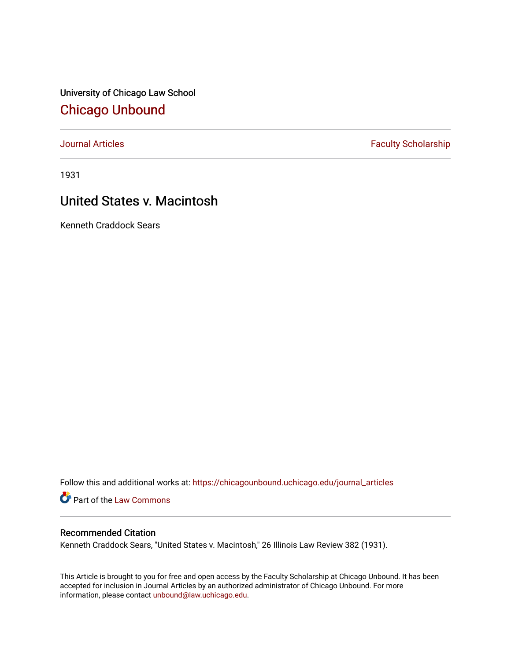University of Chicago Law School [Chicago Unbound](https://chicagounbound.uchicago.edu/)

[Journal Articles](https://chicagounbound.uchicago.edu/journal_articles) **Faculty Scholarship Faculty Scholarship** 

1931

# United States v. Macintosh

Kenneth Craddock Sears

Follow this and additional works at: [https://chicagounbound.uchicago.edu/journal\\_articles](https://chicagounbound.uchicago.edu/journal_articles?utm_source=chicagounbound.uchicago.edu%2Fjournal_articles%2F9576&utm_medium=PDF&utm_campaign=PDFCoverPages) 

Part of the [Law Commons](http://network.bepress.com/hgg/discipline/578?utm_source=chicagounbound.uchicago.edu%2Fjournal_articles%2F9576&utm_medium=PDF&utm_campaign=PDFCoverPages)

# Recommended Citation

Kenneth Craddock Sears, "United States v. Macintosh," 26 Illinois Law Review 382 (1931).

This Article is brought to you for free and open access by the Faculty Scholarship at Chicago Unbound. It has been accepted for inclusion in Journal Articles by an authorized administrator of Chicago Unbound. For more information, please contact [unbound@law.uchicago.edu](mailto:unbound@law.uchicago.edu).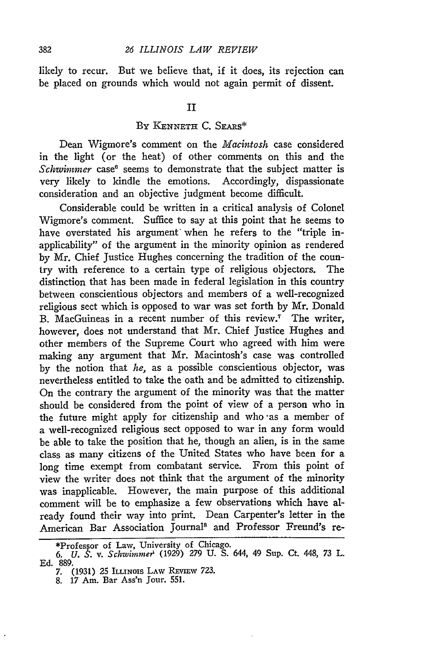likely to recur. But we believe that, if it does, its rejection can be placed on grounds which would not again permit of dissent.

## BY KENNETH C. SEARS\*

Dean Wigmore's comment on the *Macintosh* case considered in the light (or the heat) of other comments on this and the *Schwimmer* case' seems to demonstrate that the subject matter is very likely to kindle the emotions. Accordingly, dispassionate consideration and an objective judgment become difficult.

Considerable could be written in a critical analysis of Colonel Wigmore's comment. Suffice to say at this point that he seems to have overstated his argument when he refers to the "triple inapplicability" of the argument in the minority opinion as rendered by Mr. Chief Justice Hughes concerning the tradition of the country with reference to a certain type of religious objectors. The distinction that has been made in federal legislation in this country between conscientious objectors and members of a well-recognized religious sect which is opposed to war was set forth by Mr. Donald B. MacGuineas in a recent number of this review.<sup>7</sup> The writer, however, does not understand that Mr. Chief Justice Hughes and other members of the Supreme Court who agreed with him were making any argument that Mr. Macintosh's case was controlled by the notion that *he,* as a possible conscientious objector, was nevertheless entitled to take the oath and be admitted to citizenship. On the contrary the argument of the minority was that the matter should be considered from the point of view of a person who in the future might apply for citizenship and who -as a member of a well-recognized religious sect opposed to war in any form would be able to take the position that he, though an alien, is in the same class as many citizens of the United States who have been for a long time exempt from combatant service. From this point of view the writer does not think that the argument of the minority was inapplicable. However, the main purpose of this additional comment will be to emphasize a few observations which have already found their way into print. Dean Carpenter's letter in the American Bar Association Journal' and Professor Freund's re-

<sup>\*</sup>Professor of Law, University of Chicago.

*<sup>6.</sup> U. S. v. Schtwimmer'* (1929) 279 U. S. 644, 49 Sup. Ct. 448, 73 L. Ed. 889.

<sup>7. (1931) 25</sup> Ittinois Law Review 723.<br>8. 17 Am. Bar Ass'n Jour. 551.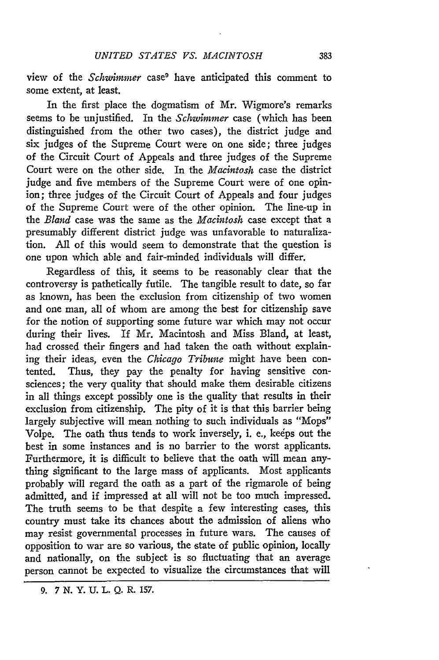view of the *Schwimmer* case9 have anticipated this comment to some extent, at least.

In the first place the dogmatism of Mr. Wigmore's remarks seems to be unjustified. In the *Schwimrmer* case (which has been distinguished from the other two cases), the district judge and six judges of the Supreme Court were on one side; three judges of the Circuit Court of Appeals and three judges of the Supreme Court were on the other side. In the *Macintosh* case the district judge and five members of the Supreme Court were of one opinion; three judges of the Circuit Court of Appeals and four judges of the Supreme Court were of the other opinion. The line-up in the *Bland* case was the same as the *Macintosh* case except that a presumably different district judge was unfavorable to naturalization. All of this would seem to demonstrate that the question is one upon which able and fair-minded individuals will differ.

Regardless of this, it seems to be reasonably clear that the controversy is pathetically futile. The tangible result to date, so far as known, has been the exclusion from citizenship of two women and one man, all of whom are among the best for citizenship save for the notion of supporting some future war which may not occur during their lives. If Mr. Macintosh and Miss Bland, at least, had crossed their fingers and had taken the oath without explaining their ideas, even the *Chicago Tribune* might have been contented. Thus, they pay the penalty for having sensitive consciences; the very quality that should make them desirable citizens in all things except possibly one is the quality that results in their exclusion from citizenship. The pity of it is that this barrier being largely subjective will mean nothing to such individuals as "Mops" Volpe. The oath thus tends to work inversely, i. e., keeps out the best in some instances and is no barrier to the worst applicants. Furthermore, it is difficult to believe that the oath will mean anything significant to the large mass of applicants. Most applicants probably will regard the oath as a part of the rigmarole of being admitted, and if impressed at all will not be too much impressed. The truth seems to be that despite a few interesting cases, this country must take its chances about the admission of aliens who may resist governmental processes in future wars. The causes of opposition to war are so various, the state of public opinion, locally and nationally, on the subject is so fluctuating that an average person cannot be expected to visualize the circumstances that will

**<sup>9. 7</sup> N. Y. U. L. Q. R. 157.**